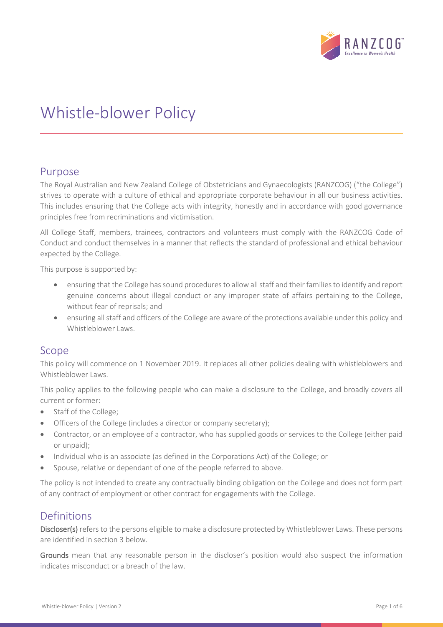

# Whistle-blower Policy

# Purpose

The Royal Australian and New Zealand College of Obstetricians and Gynaecologists (RANZCOG) ("the College") strives to operate with a culture of ethical and appropriate corporate behaviour in all our business activities. This includes ensuring that the College acts with integrity, honestly and in accordance with good governance principles free from recriminations and victimisation.

All College Staff, members, trainees, contractors and volunteers must comply with the RANZCOG Code of Conduct and conduct themselves in a manner that reflects the standard of professional and ethical behaviour expected by the College.

This purpose is supported by:

- ensuring that the College has sound procedures to allow all staff and their families to identify and report genuine concerns about illegal conduct or any improper state of affairs pertaining to the College, without fear of reprisals; and
- ensuring all staff and officers of the College are aware of the protections available under this policy and Whistleblower Laws.

# Scope

This policy will commence on 1 November 2019. It replaces all other policies dealing with whistleblowers and Whistleblower Laws.

This policy applies to the following people who can make a disclosure to the College, and broadly covers all current or former:

- Staff of the College;
- Officers of the College (includes a director or company secretary);
- Contractor, or an employee of a contractor, who has supplied goods or services to the College (either paid or unpaid);
- Individual who is an associate (as defined in the Corporations Act) of the College; or
- Spouse, relative or dependant of one of the people referred to above.

The policy is not intended to create any contractually binding obligation on the College and does not form part of any contract of employment or other contract for engagements with the College.

# Definitions

Discloser(s) refers to the persons eligible to make a disclosure protected by Whistleblower Laws. These persons are identified in section 3 below.

Grounds mean that any reasonable person in the discloser's position would also suspect the information indicates misconduct or a breach of the law.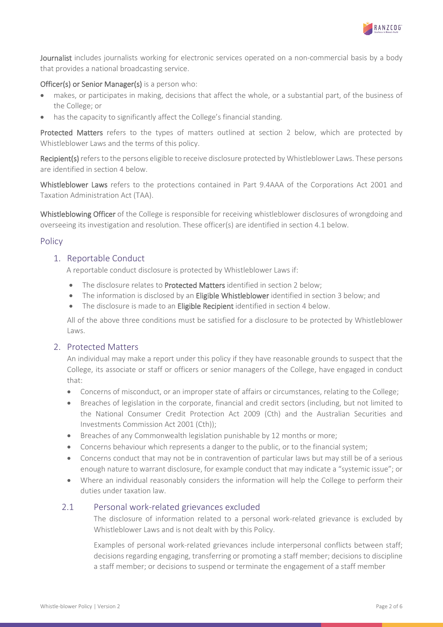

Journalist includes journalists working for electronic services operated on a non-commercial basis by a body that provides a national broadcasting service.

## Officer(s) or Senior Manager(s) is a person who:

- [makes,](http://classic.austlii.edu.au/au/legis/cth/consol_act/ca2001172/s1551.html#make) or participates in making, [decisions](http://classic.austlii.edu.au/au/legis/cth/consol_act/ca2001172/s1317a.html#decision) that affect the whole, or a substantial part, of the business of the College; or
- has the capacity to significantly affect the College's financial standing.

Protected Matters refers to the types of matters outlined at section 2 below, which are protected by Whistleblower Laws and the terms of this policy.

Recipient(s) refers to the persons eligible to receive disclosure protected by Whistleblower Laws. These persons are identified in section 4 below.

Whistleblower Laws refers to the protections contained in Part 9.4AAA of the Corporations Act 2001 and Taxation Administration Act (TAA).

Whistleblowing Officer of the College is responsible for receiving whistleblower disclosures of wrongdoing and overseeing its investigation and resolution. These officer(s) are identified in section 4.1 below.

# Policy

## 1. Reportable Conduct

A reportable conduct disclosure is protected by Whistleblower Laws if:

- The disclosure relates to Protected Matters identified in section 2 below;
- The information is disclosed by an Eligible Whistleblower identified in section 3 below; and
- The disclosure is made to an Eligible Recipient identified in section 4 below.

All of the above three conditions must be satisfied for a disclosure to be protected by Whistleblower Laws.

## 2. Protected Matters

An individual may make a report under this policy if they have reasonable grounds to suspect that the College, its associate or staff or officers or senior managers of the College, have engaged in conduct that:

- Concerns of misconduct, or an improper state of affairs or circumstances, relating to the College;
- Breaches of legislation in the corporate, financial and credit sectors (including, but not limited to the National Consumer Credit Protection Act 2009 (Cth) and the Australian Securities and Investments Commission Act 2001 (Cth));
- Breaches of any Commonwealth legislation punishable by 12 months or more;
- Concerns behaviour which represents a danger to the public, or to the financial system;
- Concerns conduct that may not be in contravention of particular laws but may still be of a serious enough nature to warrant disclosure, for example conduct that may indicate a "systemic issue"; or
- Where an individual reasonably considers the information will help the College to perform their duties under taxation law.

## 2.1 Personal work-related grievances excluded

The disclosure of information related to a personal work-related grievance is excluded by Whistleblower Laws and is not dealt with by this Policy.

Examples of personal work-related grievances include interpersonal conflicts between staff; decisions regarding engaging, transferring or promoting a staff member; decisions to discipline a staff member; or decisions to suspend or terminate the engagement of a staff member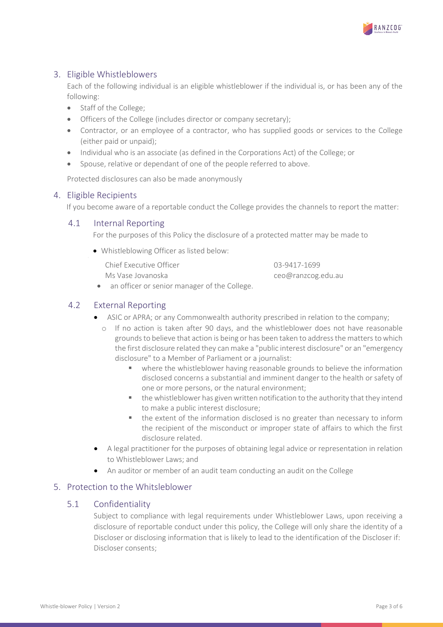

# 3. Eligible Whistleblowers

Each of the following individual is an eligible whistleblower if the individual is, or has been any of the following:

- Staff of the College;
- Officers of the College (includes director or company secretary);
- Contractor, or an employee of a contractor, who has supplied goods or services to the College (either paid or unpaid);
- Individual who is an associate (as defined in the Corporations Act) of the College; or
- Spouse, relative or dependant of one of the people referred to above.

Protected disclosures can also be made anonymously

# 4. Eligible Recipients

If you become aware of a reportable conduct the College provides the channels to report the matter:

# 4.1 Internal Reporting

For the purposes of this Policy the disclosure of a protected matter may be made to

• Whistleblowing Officer as listed below:

| Chief Executive Officer                     | 03-9417-1699       |
|---------------------------------------------|--------------------|
| Ms Vase Jovanoska                           | ceo@ranzcog.edu.au |
| an officer or senior manager of the College |                    |

• an officer or senior manager of the College.

# 4.2 External Reporting

- ASIC or APRA; or any Commonwealth authority prescribed in relation to the company;
	- o If no action is taken after 90 days, and the whistleblower does not have reasonable grounds to believe that action is being or has been taken to address the matters to which the first disclosure related they can make a "public interest disclosure" or an "emergency disclosure" to a Member of Parliament or a journalist:
		- where the whistleblower having reasonable grounds to believe the information disclosed concerns a substantial and imminent danger to the health or safety of one or more persons, or the natural environment;
		- the whistleblower has given written notification to the authority that they intend to make a public interest disclosure;
		- **•** the extent of the information disclosed is no greater than necessary to inform the recipient of the misconduct or improper state of affairs to which the first disclosure related.
- A legal practitioner for the purposes of obtaining legal advice or representation in relation to Whistleblower Laws; and
- An auditor or member of an audit team conducting an audit on the College

# 5. Protection to the Whitsleblower

# 5.1 Confidentiality

Subject to compliance with legal requirements under Whistleblower Laws, upon receiving a disclosure of reportable conduct under this policy, the College will only share the identity of a Discloser or disclosing information that is likely to lead to the identification of the Discloser if: Discloser consents;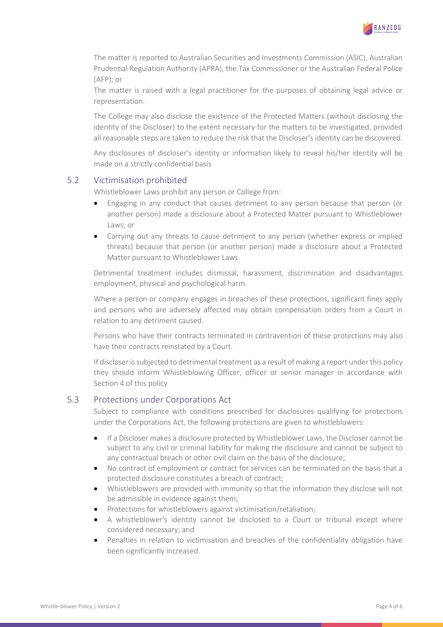

The matter is reported to Australian Securities and Investments Commission (ASIC), Australian Prudential Regulation Authority (APRA), the Tax Commissioner or the Australian Federal Police (AFP); or

The matter is raised with a legal practitioner for the purposes of obtaining legal advice or representation.

The College may also disclose the existence of the Protected Matters (without disclosing the identity of the Discloser) to the extent necessary for the matters to be investigated, provided all reasonable steps are taken to reduce the risk that the Discloser's identity can be discovered.

Any disclosures of discloser's identity or information likely to reveal his/her identity will be made on a strictly confidential basis

#### 5.2 Victimisation prohibited

Whistleblower Laws prohibit any person or College from:

- Engaging in any conduct that causes detriment to any person because that person (or another person) made a disclosure about a Protected Matter pursuant to Whistleblower Laws; or
- Carrying out any threats to cause detriment to any person (whether express or implied threats) because that person (or another person) made a disclosure about a Protected Matter pursuant to Whistleblower Laws.

Detrimental treatment includes dismissal, harassment, discrimination and disadvantages employment, physical and psychological harm.

Where a person or company engages in breaches of these protections, significant fines apply and persons who are adversely affected may obtain compensation orders from a Court in relation to any detriment caused.

Persons who have their contracts terminated in contravention of these protections may also have their contracts reinstated by a Court.

If discloser is subjected to detrimental treatment as a result of making a report under this policy they should inform Whistleblowing Officer, officer or senior manager in accordance with Section 4 of this policy

# 5.3 Protections under Corporations Act

Subject to compliance with conditions prescribed for disclosures qualifying for protections under the Corporations Act, the following protections are given to whistleblowers:

- If a Discloser makes a disclosure protected by Whistleblower Laws, the Discloser cannot be subject to any civil or criminal liability for making the disclosure and cannot be subject to any contractual breach or other civil claim on the basis of the disclosure;
- No contract of employment or contract for services can be terminated on the basis that a protected disclosure constitutes a breach of contract;
- Whistleblowers are provided with immunity so that the information they disclose will not be admissible in evidence against them;
- Protections for whistleblowers against victimisation/retaliation;
- A whistleblower's identity cannot be disclosed to a Court or tribunal except where considered necessary; and
- Penalties in relation to victimisation and breaches of the confidentiality obligation have been significantly increased.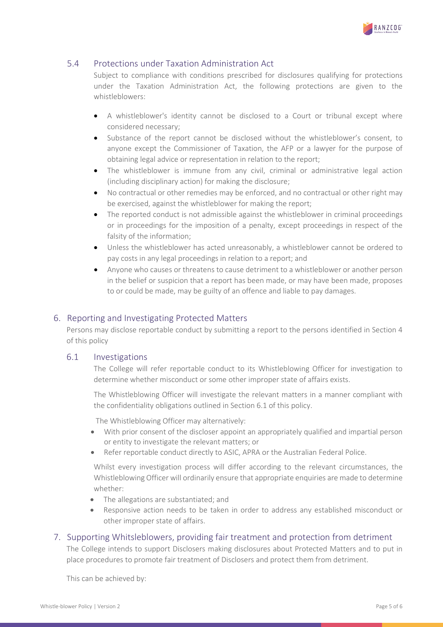

# 5.4 Protections under Taxation Administration Act

Subject to compliance with conditions prescribed for disclosures qualifying for protections under the Taxation Administration Act, the following protections are given to the whistleblowers:

- A whistleblower's identity cannot be disclosed to a Court or tribunal except where considered necessary;
- Substance of the report cannot be disclosed without the whistleblower's consent, to anyone except the Commissioner of Taxation, the AFP or a lawyer for the purpose of obtaining legal advice or representation in relation to the report;
- The whistleblower is immune from any civil, criminal or administrative legal action (including disciplinary action) for making the disclosure;
- No contractual or other remedies may be enforced, and no contractual or other right may be exercised, against the whistleblower for making the report;
- The reported conduct is not admissible against the whistleblower in criminal proceedings or in proceedings for the imposition of a penalty, except proceedings in respect of the falsity of the information;
- Unless the whistleblower has acted unreasonably, a whistleblower cannot be ordered to pay costs in any legal proceedings in relation to a report; and
- Anyone who causes or threatens to cause detriment to a whistleblower or another person in the belief or suspicion that a report has been made, or may have been made, proposes to or could be made, may be guilty of an offence and liable to pay damages.

# 6. Reporting and Investigating Protected Matters

Persons may disclose reportable conduct by submitting a report to the persons identified in Section 4 of this policy

## 6.1 Investigations

The College will refer reportable conduct to its Whistleblowing Officer for investigation to determine whether misconduct or some other improper state of affairs exists.

The Whistleblowing Officer will investigate the relevant matters in a manner compliant with the confidentiality obligations outlined in Section 6.1 of this policy.

The Whistleblowing Officer may alternatively:

- With prior consent of the discloser appoint an appropriately qualified and impartial person or entity to investigate the relevant matters; or
- Refer reportable conduct directly to ASIC, APRA or the Australian Federal Police.

Whilst every investigation process will differ according to the relevant circumstances, the Whistleblowing Officer will ordinarily ensure that appropriate enquiries are made to determine whether:

- The allegations are substantiated; and
- Responsive action needs to be taken in order to address any established misconduct or other improper state of affairs.
- 7. Supporting Whitsleblowers, providing fair treatment and protection from detriment

The College intends to support Disclosers making disclosures about Protected Matters and to put in place procedures to promote fair treatment of Disclosers and protect them from detriment.

This can be achieved by: